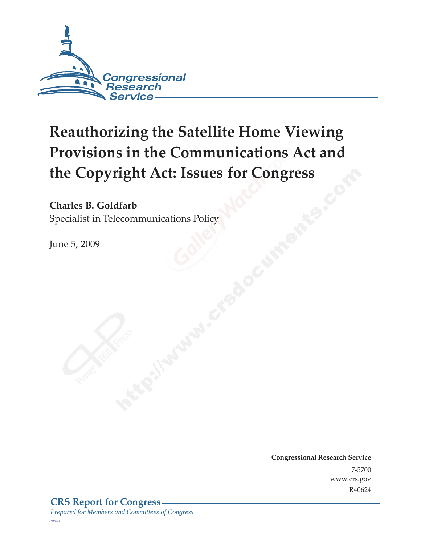

# **Reauthorizing the Satellite Home Viewing Provisions in the Communications Act and the Copyright Act: Issues for Congress**

**Charles B. Goldfarb** 

Specialist in Telecommunications Policy

June 5, 2009

**Congressional Research Service** 7-5700 www.crs.gov R40624

*c11173008*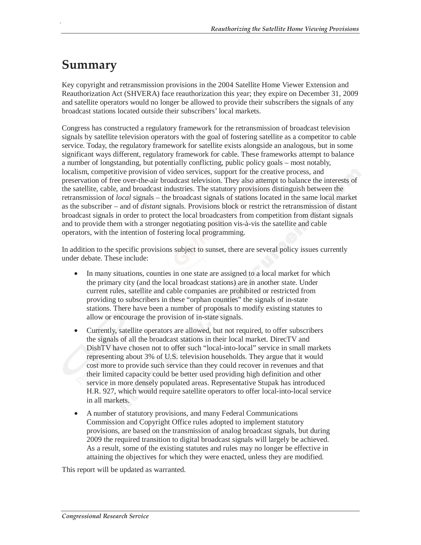### **Summary**

.

Key copyright and retransmission provisions in the 2004 Satellite Home Viewer Extension and Reauthorization Act (SHVERA) face reauthorization this year; they expire on December 31, 2009 and satellite operators would no longer be allowed to provide their subscribers the signals of any broadcast stations located outside their subscribers' local markets.

Congress has constructed a regulatory framework for the retransmission of broadcast television signals by satellite television operators with the goal of fostering satellite as a competitor to cable service. Today, the regulatory framework for satellite exists alongside an analogous, but in some significant ways different, regulatory framework for cable. These frameworks attempt to balance a number of longstanding, but potentially conflicting, public policy goals – most notably, localism, competitive provision of video services, support for the creative process, and preservation of free over-the-air broadcast television. They also attempt to balance the interests of the satellite, cable, and broadcast industries. The statutory provisions distinguish between the retransmission of *local* signals – the broadcast signals of stations located in the same local market as the subscriber – and of *distant* signals. Provisions block or restrict the retransmission of distant broadcast signals in order to protect the local broadcasters from competition from distant signals and to provide them with a stronger negotiating position vis-à-vis the satellite and cable operators, with the intention of fostering local programming.

In addition to the specific provisions subject to sunset, there are several policy issues currently under debate. These include:

- In many situations, counties in one state are assigned to a local market for which the primary city (and the local broadcast stations) are in another state. Under current rules, satellite and cable companies are prohibited or restricted from providing to subscribers in these "orphan counties" the signals of in-state stations. There have been a number of proposals to modify existing statutes to allow or encourage the provision of in-state signals.
- Currently, satellite operators are allowed, but not required, to offer subscribers the signals of all the broadcast stations in their local market. DirecTV and DishTV have chosen not to offer such "local-into-local" service in small markets representing about 3% of U.S. television households. They argue that it would cost more to provide such service than they could recover in revenues and that their limited capacity could be better used providing high definition and other service in more densely populated areas. Representative Stupak has introduced H.R. 927, which would require satellite operators to offer local-into-local service in all markets.
- A number of statutory provisions, and many Federal Communications Commission and Copyright Office rules adopted to implement statutory provisions, are based on the transmission of analog broadcast signals, but during 2009 the required transition to digital broadcast signals will largely be achieved. As a result, some of the existing statutes and rules may no longer be effective in attaining the objectives for which they were enacted, unless they are modified.

This report will be updated as warranted.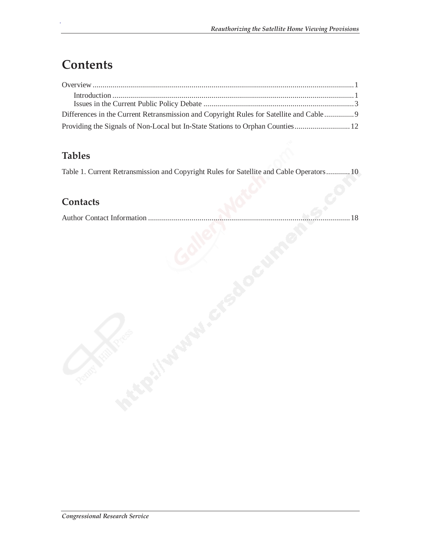### **Contents**

.

| Differences in the Current Retransmission and Copyright Rules for Satellite and Cable 9 |  |
|-----------------------------------------------------------------------------------------|--|
| Providing the Signals of Non-Local but In-State Stations to Orphan Counties 12          |  |

### **Tables**

Table 1. Current Retransmission and Copyright Rules for Satellite and Cable Operators............10

#### **Contacts**

Author Contact Information ......................................................................................................18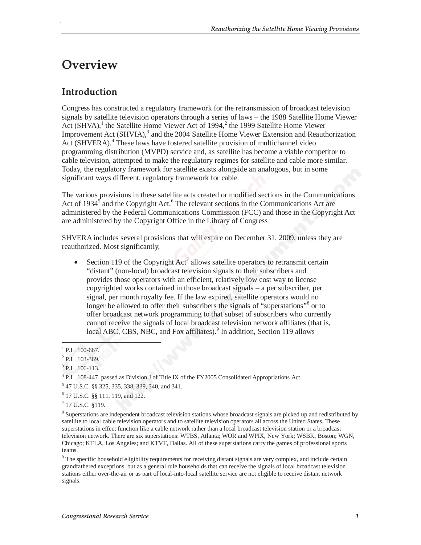### **Overview**

.

#### **Introduction**

Congress has constructed a regulatory framework for the retransmission of broadcast television signals by satellite television operators through a series of laws – the 1988 Satellite Home Viewer Act  $(SHVA)$ ,<sup>1</sup> the Satellite Home Viewer Act of 1994,<sup>2</sup> the 1999 Satellite Home Viewer Improvement Act (SHVIA),<sup>3</sup> and the 2004 Satellite Home Viewer Extension and Reauthorization Act (SHVERA).<sup>4</sup> These laws have fostered satellite provision of multichannel video programming distribution (MVPD) service and, as satellite has become a viable competitor to cable television, attempted to make the regulatory regimes for satellite and cable more similar. Today, the regulatory framework for satellite exists alongside an analogous, but in some significant ways different, regulatory framework for cable.

The various provisions in these satellite acts created or modified sections in the Communications Act of 1934<sup>5</sup> and the Copyright Act.<sup>6</sup> The relevant sections in the Communications Act are administered by the Federal Communications Commission (FCC) and those in the Copyright Act are administered by the Copyright Office in the Library of Congress

SHVERA includes several provisions that will expire on December 31, 2009, unless they are reauthorized. Most significantly,

• Section 119 of the Copyright  $Act^7$  allows satellite operators to retransmit certain "distant" (non-local) broadcast television signals to their subscribers and provides those operators with an efficient, relatively low cost way to license copyrighted works contained in those broadcast signals – a per subscriber, per signal, per month royalty fee. If the law expired, satellite operators would no longer be allowed to offer their subscribers the signals of "superstations"<sup>8</sup> or to offer broadcast network programming to that subset of subscribers who currently cannot receive the signals of local broadcast television network affiliates (that is, local ABC, CBS, NBC, and Fox affiliates).<sup>9</sup> In addition, Section 119 allows

<sup>9</sup> The specific household eligibility requirements for receiving distant signals are very complex, and include certain grandfathered exceptions, but as a general rule households that can receive the signals of local broadcast television stations either over-the-air or as part of local-into-local satellite service are not eligible to receive distant network signals.

 $^{1}$  P.L. 100-667.

 $^{2}$  P.L. 103-369.

<sup>3</sup> P.L. 106-113.

<sup>&</sup>lt;sup>4</sup> P.L. 108-447, passed as Division J of Title IX of the FY2005 Consolidated Appropriations Act.

<sup>5</sup> 47 U.S.C. §§ 325, 335, 338, 339, 340, and 341.

<sup>6</sup> 17 U.S.C. §§ 111, 119, and 122.

 $17$  U.S.C. §119.

<sup>&</sup>lt;sup>8</sup> Superstations are independent broadcast television stations whose broadcast signals are picked up and redistributed by satellite to local cable television operators and to satellite television operators all across the United States. These superstations in effect function like a cable network rather than a local broadcast television station or a broadcast television network. There are six superstations: WTBS, Atlanta; WOR and WPIX, New York; WSBK, Boston; WGN, Chicago; KTLA, Los Angeles; and KTVT, Dallas. All of these superstations carry the games of professional sports teams.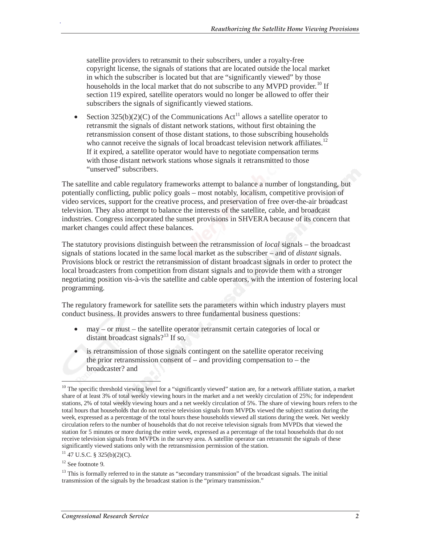satellite providers to retransmit to their subscribers, under a royalty-free copyright license, the signals of stations that are located outside the local market in which the subscriber is located but that are "significantly viewed" by those households in the local market that do not subscribe to any MVPD provider.<sup>10</sup> If section 119 expired, satellite operators would no longer be allowed to offer their subscribers the signals of significantly viewed stations.

• Section 325(b)(2)(C) of the Communications  $Act^{11}$  allows a satellite operator to retransmit the signals of distant network stations, without first obtaining the retransmission consent of those distant stations, to those subscribing households who cannot receive the signals of local broadcast television network affiliates.<sup>12</sup> If it expired, a satellite operator would have to negotiate compensation terms with those distant network stations whose signals it retransmitted to those "unserved" subscribers.

The satellite and cable regulatory frameworks attempt to balance a number of longstanding, but potentially conflicting, public policy goals – most notably, localism, competitive provision of video services, support for the creative process, and preservation of free over-the-air broadcast television. They also attempt to balance the interests of the satellite, cable, and broadcast industries. Congress incorporated the sunset provisions in SHVERA because of its concern that market changes could affect these balances.

The statutory provisions distinguish between the retransmission of *local* signals – the broadcast signals of stations located in the same local market as the subscriber – and of *distant* signals. Provisions block or restrict the retransmission of distant broadcast signals in order to protect the local broadcasters from competition from distant signals and to provide them with a stronger negotiating position vis-à-vis the satellite and cable operators, with the intention of fostering local programming.

The regulatory framework for satellite sets the parameters within which industry players must conduct business. It provides answers to three fundamental business questions:

- may or must the satellite operator retransmit certain categories of local or distant broadcast signals? $13$  If so,
- is retransmission of those signals contingent on the satellite operator receiving the prior retransmission consent of – and providing compensation to – the broadcaster? and

<sup>-</sup>

<sup>&</sup>lt;sup>10</sup> The specific threshold viewing level for a "significantly viewed" station are, for a network affiliate station, a market share of at least 3% of total weekly viewing hours in the market and a net weekly circulation of 25%; for independent stations, 2% of total weekly viewing hours and a net weekly circulation of 5%. The share of viewing hours refers to the total hours that households that do not receive television signals from MVPDs viewed the subject station during the week, expressed as a percentage of the total hours these households viewed all stations during the week. Net weekly circulation refers to the number of households that do not receive television signals from MVPDs that viewed the station for 5 minutes or more during the entire week, expressed as a percentage of the total households that do not receive television signals from MVPDs in the survey area. A satellite operator can retransmit the signals of these significantly viewed stations only with the retransmission permission of the station.

 $11$  47 U.S.C. § 325(b)(2)(C).

 $12$  See footnote 9.

<sup>&</sup>lt;sup>13</sup> This is formally referred to in the statute as "secondary transmission" of the broadcast signals. The initial transmission of the signals by the broadcast station is the "primary transmission."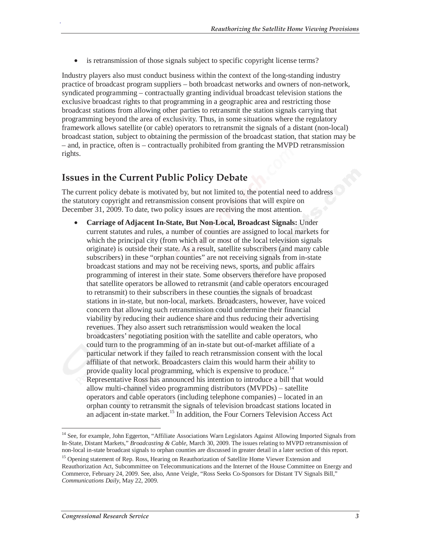• is retransmission of those signals subject to specific copyright license terms?

Industry players also must conduct business within the context of the long-standing industry practice of broadcast program suppliers – both broadcast networks and owners of non-network, syndicated programming – contractually granting individual broadcast television stations the exclusive broadcast rights to that programming in a geographic area and restricting those broadcast stations from allowing other parties to retransmit the station signals carrying that programming beyond the area of exclusivity. Thus, in some situations where the regulatory framework allows satellite (or cable) operators to retransmit the signals of a distant (non-local) broadcast station, subject to obtaining the permission of the broadcast station, that station may be – and, in practice, often is – contractually prohibited from granting the MVPD retransmission rights.

#### **Issues in the Current Public Policy Debate**

The current policy debate is motivated by, but not limited to, the potential need to address the statutory copyright and retransmission consent provisions that will expire on December 31, 2009. To date, two policy issues are receiving the most attention.

• **Carriage of Adjacent In-State, But Non-Local, Broadcast Signals:** Under current statutes and rules, a number of counties are assigned to local markets for which the principal city (from which all or most of the local television signals originate) is outside their state. As a result, satellite subscribers (and many cable subscribers) in these "orphan counties" are not receiving signals from in-state broadcast stations and may not be receiving news, sports, and public affairs programming of interest in their state. Some observers therefore have proposed that satellite operators be allowed to retransmit (and cable operators encouraged to retransmit) to their subscribers in these counties the signals of broadcast stations in in-state, but non-local, markets. Broadcasters, however, have voiced concern that allowing such retransmission could undermine their financial viability by reducing their audience share and thus reducing their advertising revenues. They also assert such retransmission would weaken the local broadcasters' negotiating position with the satellite and cable operators, who could turn to the programming of an in-state but out-of-market affiliate of a particular network if they failed to reach retransmission consent with the local affiliate of that network. Broadcasters claim this would harm their ability to provide quality local programming, which is expensive to produce.<sup>14</sup> Representative Ross has announced his intention to introduce a bill that would allow multi-channel video programming distributors (MVPDs) – satellite operators and cable operators (including telephone companies) – located in an orphan county to retransmit the signals of television broadcast stations located in an adjacent in-state market.<sup>15</sup> In addition, the Four Corners Television Access Act

 $\overline{a}$ 

<sup>&</sup>lt;sup>14</sup> See, for example, John Eggerton, "Affiliate Associations Warn Legislators Against Allowing Imported Signals from In-State, Distant Markets," *Broadcasting & Cable,* March 30, 2009. The issues relating to MVPD retransmission of non-local in-state broadcast signals to orphan counties are discussed in greater detail in a later section of this report.

<sup>&</sup>lt;sup>15</sup> Opening statement of Rep. Ross, Hearing on Reauthorization of Satellite Home Viewer Extension and Reauthorization Act, Subcommittee on Telecommunications and the Internet of the House Committee on Energy and Commerce, February 24, 2009. See, also, Anne Veigle, "Ross Seeks Co-Sponsors for Distant TV Signals Bill," *Communications Daily*, May 22, 2009.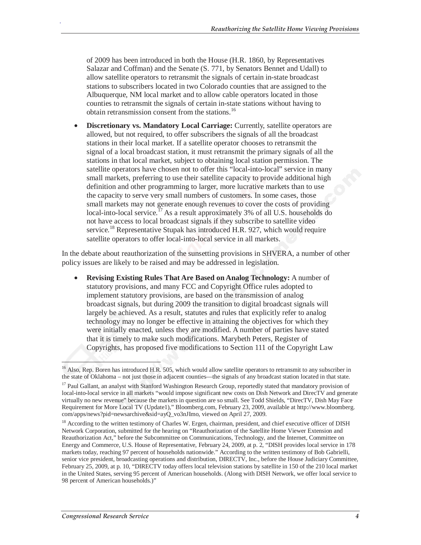of 2009 has been introduced in both the House (H.R. 1860, by Representatives Salazar and Coffman) and the Senate (S. 771, by Senators Bennet and Udall) to allow satellite operators to retransmit the signals of certain in-state broadcast stations to subscribers located in two Colorado counties that are assigned to the Albuquerque, NM local market and to allow cable operators located in those counties to retransmit the signals of certain in-state stations without having to obtain retransmission consent from the stations.<sup>16</sup>

• **Discretionary vs. Mandatory Local Carriage:** Currently, satellite operators are allowed, but not required, to offer subscribers the signals of all the broadcast stations in their local market. If a satellite operator chooses to retransmit the signal of a local broadcast station, it must retransmit the primary signals of all the stations in that local market, subject to obtaining local station permission. The satellite operators have chosen not to offer this "local-into-local" service in many small markets, preferring to use their satellite capacity to provide additional high definition and other programming to larger, more lucrative markets than to use the capacity to serve very small numbers of customers. In some cases, those small markets may not generate enough revenues to cover the costs of providing local-into-local service.<sup>17</sup> As a result approximately 3% of all U.S. households do not have access to local broadcast signals if they subscribe to satellite video service.<sup>18</sup> Representative Stupak has introduced H.R. 927, which would require satellite operators to offer local-into-local service in all markets.

In the debate about reauthorization of the sunsetting provisions in SHVERA, a number of other policy issues are likely to be raised and may be addressed in legislation.

• **Revising Existing Rules That Are Based on Analog Technology:** A number of statutory provisions, and many FCC and Copyright Office rules adopted to implement statutory provisions, are based on the transmission of analog broadcast signals, but during 2009 the transition to digital broadcast signals will largely be achieved. As a result, statutes and rules that explicitly refer to analog technology may no longer be effective in attaining the objectives for which they were initially enacted, unless they are modified. A number of parties have stated that it is timely to make such modifications. Marybeth Peters, Register of Copyrights, has proposed five modifications to Section 111 of the Copyright Law

<sup>-</sup><sup>16</sup> Also, Rep. Boren has introduced H.R. 505, which would allow satellite operators to retransmit to any subscriber in the state of Oklahoma – not just those in adjacent counties—the signals of any broadcast station located in that state.

<sup>&</sup>lt;sup>17</sup> Paul Gallant, an analyst with Stanford Washington Research Group, reportedly stated that mandatory provision of local-into-local service in all markets "would impose significant new costs on Dish Network and DirecTV and generate virtually no new revenue" because the markets in question are so small. See Todd Shields, "DirecTV, Dish May Face Requirement for More Local TV (Update1)," Bloomberg.com, February 23, 2009, available at http://www.bloomberg. com/apps/news?pid=newsarchive&sid=ayQ\_vo3nJImo, viewed on April 27, 2009.

<sup>&</sup>lt;sup>18</sup> According to the written testimony of Charles W. Ergen, chairman, president, and chief executive officer of DISH Network Corporation, submitted for the hearing on "Reauthorization of the Satellite Home Viewer Extension and Reauthorization Act," before the Subcommittee on Communications, Technology, and the Internet, Committee on Energy and Commerce, U.S. House of Representative, February 24, 2009, at p. 2, "DISH provides local service in 178 markets today, reaching 97 percent of households nationwide." According to the written testimony of Bob Gabrielli, senior vice president, broadcasting operations and distribution, DIRECTV, Inc., before the House Judiciary Committee, February 25, 2009, at p. 10, "DIRECTV today offers local television stations by satellite in 150 of the 210 local market in the United States, serving 95 percent of American households. (Along with DISH Network, we offer local service to 98 percent of American households.)"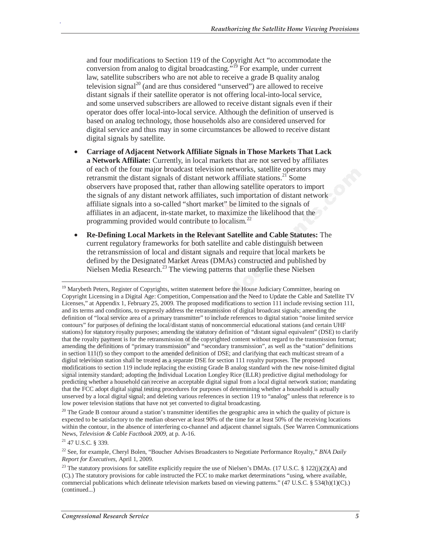and four modifications to Section 119 of the Copyright Act "to accommodate the conversion from analog to digital broadcasting."19 For example, under current law, satellite subscribers who are not able to receive a grade B quality analog television signal<sup>20</sup> (and are thus considered "unserved") are allowed to receive distant signals if their satellite operator is not offering local-into-local service, and some unserved subscribers are allowed to receive distant signals even if their operator does offer local-into-local service. Although the definition of unserved is based on analog technology, those households also are considered unserved for digital service and thus may in some circumstances be allowed to receive distant digital signals by satellite.

- **Carriage of Adjacent Network Affiliate Signals in Those Markets That Lack a Network Affiliate:** Currently, in local markets that are not served by affiliates of each of the four major broadcast television networks, satellite operators may retransmit the distant signals of distant network affiliate stations.<sup>21</sup> Some observers have proposed that, rather than allowing satellite operators to import the signals of any distant network affiliates, such importation of distant network affiliate signals into a so-called "short market" be limited to the signals of affiliates in an adjacent, in-state market, to maximize the likelihood that the programming provided would contribute to localism.22
- **Re-Defining Local Markets in the Relevant Satellite and Cable Statutes:** The current regulatory frameworks for both satellite and cable distinguish between the retransmission of local and distant signals and require that local markets be defined by the Designated Market Areas (DMAs) constructed and published by Nielsen Media Research.<sup>23</sup> The viewing patterns that underlie these Nielsen

-

<sup>&</sup>lt;sup>19</sup> Marybeth Peters, Register of Copyrights, written statement before the House Judiciary Committee, hearing on Copyright Licensing in a Digital Age: Competition, Compensation and the Need to Update the Cable and Satellite TV Licenses," at Appendix 1, February 25, 2009. The proposed modifications to section 111 include revising section 111, and its terms and conditions, to expressly address the retransmission of digital broadcast signals; amending the definition of "local service area of a primary transmitter" to include references to digital station "noise limited service contours" for purposes of defining the local/distant status of noncommercial educational stations (and certain UHF stations) for statutory royalty purposes; amending the statutory definition of "distant signal equivalent" (DSE) to clarify that the royalty payment is for the retransmission of the copyrighted content without regard to the transmission format; amending the definitions of "primary transmission" and "secondary transmission", as well as the "station" definitions in section 111(f) so they comport to the amended definition of DSE; and clarifying that each multicast stream of a digital television station shall be treated as a separate DSE for section 111 royalty purposes. The proposed modifications to section 119 include replacing the existing Grade B analog standard with the new noise-limited digital signal intensity standard; adopting the Individual Location Longley Rice (ILLR) predictive digital methodology for predicting whether a household can receive an acceptable digital signal from a local digital network station; mandating that the FCC adopt digital signal testing procedures for purposes of determining whether a household is actually unserved by a local digital signal; and deleting various references in section 119 to "analog" unless that reference is to low power television stations that have not yet converted to digital broadcasting.

 $20$  The Grade B contour around a station's transmitter identifies the geographic area in which the quality of picture is expected to be satisfactory to the median observer at least 90% of the time for at least 50% of the receiving locations within the contour, in the absence of interfering co-channel and adjacent channel signals. (See Warren Communications News, *Television & Cable Factbook 2009,* at p. A-16.

 $21$  47 U.S.C. § 339.

<sup>22</sup> See, for example, Cheryl Bolen, "Boucher Advises Broadcasters to Negotiate Performance Royalty," *BNA Daily Report for Executives,* April 1, 2009.

<sup>&</sup>lt;sup>23</sup> The statutory provisions for satellite explicitly require the use of Nielsen's DMAs. (17 U.S.C. § 122(j)(2)(A) and (C).) The statutory provisions for cable instructed the FCC to make market determinations "using, where available, commercial publications which delineate television markets based on viewing patterns." (47 U.S.C. § 534(h)(1)(C).) (continued...)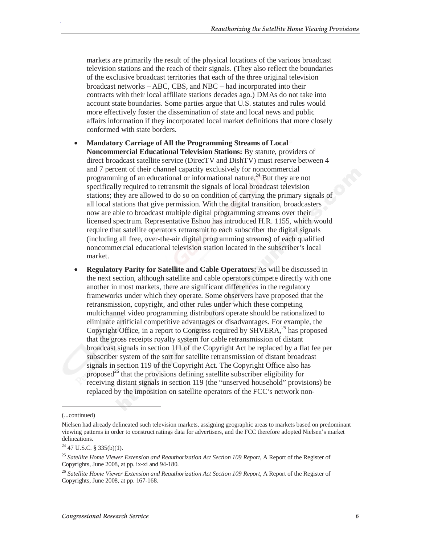markets are primarily the result of the physical locations of the various broadcast television stations and the reach of their signals. (They also reflect the boundaries of the exclusive broadcast territories that each of the three original television broadcast networks – ABC, CBS, and NBC – had incorporated into their contracts with their local affiliate stations decades ago.) DMAs do not take into account state boundaries. Some parties argue that U.S. statutes and rules would more effectively foster the dissemination of state and local news and public affairs information if they incorporated local market definitions that more closely conformed with state borders.

- **Mandatory Carriage of All the Programming Streams of Local Noncommercial Educational Television Stations:** By statute, providers of direct broadcast satellite service (DirecTV and DishTV) must reserve between 4 and 7 percent of their channel capacity exclusively for noncommercial programming of an educational or informational nature.<sup>24</sup> But they are not specifically required to retransmit the signals of local broadcast television stations; they are allowed to do so on condition of carrying the primary signals of all local stations that give permission. With the digital transition, broadcasters now are able to broadcast multiple digital programming streams over their licensed spectrum. Representative Eshoo has introduced H.R. 1155, which would require that satellite operators retransmit to each subscriber the digital signals (including all free, over-the-air digital programming streams) of each qualified noncommercial educational television station located in the subscriber's local market.
- **Regulatory Parity for Satellite and Cable Operators:** As will be discussed in the next section, although satellite and cable operators compete directly with one another in most markets, there are significant differences in the regulatory frameworks under which they operate. Some observers have proposed that the retransmission, copyright, and other rules under which these competing multichannel video programming distributors operate should be rationalized to eliminate artificial competitive advantages or disadvantages. For example, the Copyright Office, in a report to Congress required by  $SHVERA$ <sup>25</sup> has proposed that the gross receipts royalty system for cable retransmission of distant broadcast signals in section 111 of the Copyright Act be replaced by a flat fee per subscriber system of the sort for satellite retransmission of distant broadcast signals in section 119 of the Copyright Act. The Copyright Office also has proposed $^{26}$  that the provisions defining satellite subscriber eligibility for receiving distant signals in section 119 (the "unserved household" provisions) be replaced by the imposition on satellite operators of the FCC's network non-

<u>.</u>

<sup>(...</sup>continued)

Nielsen had already delineated such television markets, assigning geographic areas to markets based on predominant viewing patterns in order to construct ratings data for advertisers, and the FCC therefore adopted Nielsen's market delineations.

 $24$  47 U.S.C. § 335(b)(1).

<sup>25</sup> *Satellite Home Viewer Extension and Reauthorization Act Section 109 Report*, A Report of the Register of Copyrights, June 2008, at pp. ix-xi and 94-180.

<sup>&</sup>lt;sup>26</sup> Satellite Home Viewer Extension and Reauthorization Act Section 109 Report, A Report of the Register of Copyrights, June 2008, at pp. 167-168.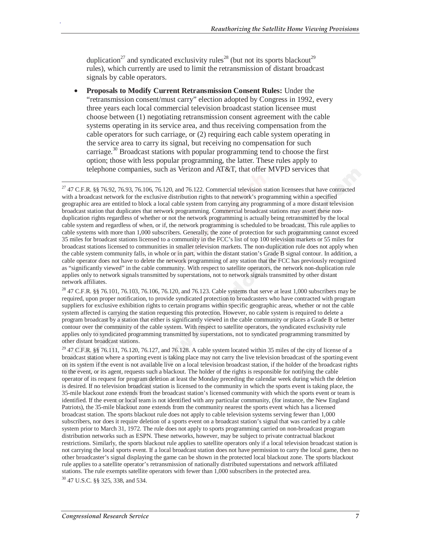duplication<sup>27</sup> and syndicated exclusivity rules<sup>28</sup> (but not its sports blackout<sup>29</sup> rules), which currently are used to limit the retransmission of distant broadcast signals by cable operators.

• **Proposals to Modify Current Retransmission Consent Rules:** Under the "retransmission consent/must carry" election adopted by Congress in 1992, every three years each local commercial television broadcast station licensee must choose between (1) negotiating retransmission consent agreement with the cable systems operating in its service area, and thus receiving compensation from the cable operators for such carriage, or (2) requiring each cable system operating in the service area to carry its signal, but receiving no compensation for such carriage.30 Broadcast stations with popular programming tend to choose the first option; those with less popular programming, the latter. These rules apply to telephone companies, such as Verizon and AT&T, that offer MVPD services that

<sup>-</sup> $27$  47 C.F.R. §§ 76.92, 76.93, 76.106, 76.120, and 76.122. Commercial television station licensees that have contracted with a broadcast network for the exclusive distribution rights to that network's programming within a specified geographic area are entitled to block a local cable system from carrying any programming of a more distant television broadcast station that duplicates that network programming. Commercial broadcast stations may assert these nonduplication rights regardless of whether or not the network programming is actually being retransmitted by the local cable system and regardless of when, or if, the network programming is scheduled to be broadcast. This rule applies to cable systems with more than 1,000 subscribers. Generally, the zone of protection for such programming cannot exceed 35 miles for broadcast stations licensed to a community in the FCC's list of top 100 television markets or 55 miles for broadcast stations licensed to communities in smaller television markets. The non-duplication rule does not apply when the cable system community falls, in whole or in part, within the distant station's Grade B signal contour. In addition, a cable operator does not have to delete the network programming of any station that the FCC has previously recognized as "significantly viewed" in the cable community. With respect to satellite operators, the network non-duplication rule applies only to network signals transmitted by superstations, not to network signals transmitted by other distant network affiliates.

 $^{28}$  47 C.F.R. §§ 76.101, 76.103, 76.106, 76.120, and 76.123. Cable systems that serve at least 1,000 subscribers may be required, upon proper notification, to provide syndicated protection to broadcasters who have contracted with program suppliers for exclusive exhibition rights to certain programs within specific geographic areas, whether or not the cable system affected is carrying the station requesting this protection. However, no cable system is required to delete a program broadcast by a station that either is significantly viewed in the cable community or places a Grade B or better contour over the community of the cable system. With respect to satellite operators, the syndicated exclusivity rule applies only to syndicated programming transmitted by superstations, not to syndicated programming transmitted by other distant broadcast stations.

 $^{29}$  47 C.F.R. §§ 76.111, 76.120, 76.127, and 76.128. A cable system located within 35 miles of the city of license of a broadcast station where a sporting event is taking place may not carry the live television broadcast of the sporting event on its system if the event is not available live on a local television broadcast station, if the holder of the broadcast rights to the event, or its agent, requests such a blackout. The holder of the rights is responsible for notifying the cable operator of its request for program deletion at least the Monday preceding the calendar week during which the deletion is desired. If no television broadcast station is licensed to the community in which the sports event is taking place, the 35-mile blackout zone extends from the broadcast station's licensed community with which the sports event or team is identified. If the event or local team is not identified with any particular community, (for instance, the New England Patriots), the 35-mile blackout zone extends from the community nearest the sports event which has a licensed broadcast station. The sports blackout rule does not apply to cable television systems serving fewer than 1,000 subscribers, nor does it require deletion of a sports event on a broadcast station's signal that was carried by a cable system prior to March 31, 1972. The rule does not apply to sports programming carried on non-broadcast program distribution networks such as ESPN. These networks, however, may be subject to private contractual blackout restrictions. Similarly, the sports blackout rule applies to satellite operators only if a local television broadcast station is not carrying the local sports event. If a local broadcast station does not have permission to carry the local game, then no other broadcaster's signal displaying the game can be shown in the protected local blackout zone. The sports blackout rule applies to a satellite operator's retransmission of nationally distributed superstations and network affiliated stations. The rule exempts satellite operators with fewer than 1,000 subscribers in the protected area.

<sup>30 47</sup> U.S.C. §§ 325, 338, and 534.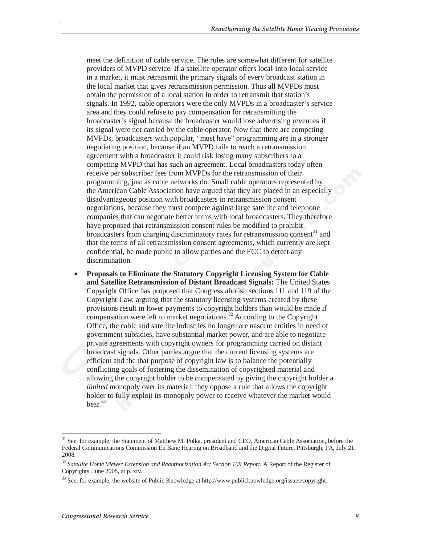meet the definition of cable service. The rules are somewhat different for satellite providers of MVPD service. If a satellite operator offers local-into-local service in a market, it must retransmit the primary signals of every broadcast station in the local market that gives retransmission permission. Thus all MVPDs must obtain the permission of a local station in order to retransmit that station's signals. In 1992, cable operators were the only MVPDs in a broadcaster's service area and they could refuse to pay compensation for retransmitting the broadcaster's signal because the broadcaster would lose advertising revenues if its signal were not carried by the cable operator. Now that there are competing MVPDs, broadcasters with popular, "must have" programming are in a stronger negotiating position, because if an MVPD fails to reach a retransmission agreement with a broadcaster it could risk losing many subscribers to a competing MVPD that has such an agreement. Local broadcasters today often receive per subscriber fees from MVPDs for the retransmission of their programming, just as cable networks do. Small cable operators represented by the American Cable Association have argued that they are placed in an especially disadvantageous position with broadcasters in retransmission consent negotiations, because they must compete against large satellite and telephone companies that can negotiate better terms with local broadcasters. They therefore have proposed that retransmission consent rules be modified to prohibit broadcasters from charging discriminatory rates for retransmission consent<sup>31</sup> and that the terms of all retransmission consent agreements, which currently are kept confidential, be made public to allow parties and the FCC to detect any discrimination.

• **Proposals to Eliminate the Statutory Copyright Licensing System for Cable and Satellite Retransmission of Distant Broadcast Signals:** The United States Copyright Office has proposed that Congress abolish sections 111 and 119 of the Copyright Law, arguing that the statutory licensing systems created by these provisions result in lower payments to copyright holders than would be made if compensation were left to market negotiations.<sup>32</sup> According to the Copyright Office, the cable and satellite industries no longer are nascent entities in need of government subsidies, have substantial market power, and are able to negotiate private agreements with copyright owners for programming carried on distant broadcast signals. Other parties argue that the current licensing systems are efficient and the that purpose of copyright law is to balance the potentially conflicting goals of fostering the dissemination of copyrighted material and allowing the copyright holder to be compensated by giving the copyright holder a *limited* monopoly over its material; they oppose a rule that allows the copyright holder to fully exploit its monopoly power to receive whatever the market would bear.<sup>33</sup>

-

<sup>&</sup>lt;sup>31</sup> See, for example, the Statement of Matthew M. Polka, president and CEO, American Cable Association, before the Federal Communications Commission En Banc Hearing on Broadband and the Digital Future, Pittsburgh, PA, July 21, 2008.

<sup>32</sup> *Satellite Home Viewer Extension and Reauthorization Act Section 109 Report*, A Report of the Register of Copyrights, June 2008, at p. xiv.

<sup>&</sup>lt;sup>33</sup> See, for example, the website of Public Knowledge at http://www.publicknowledge.org/issues/copyright.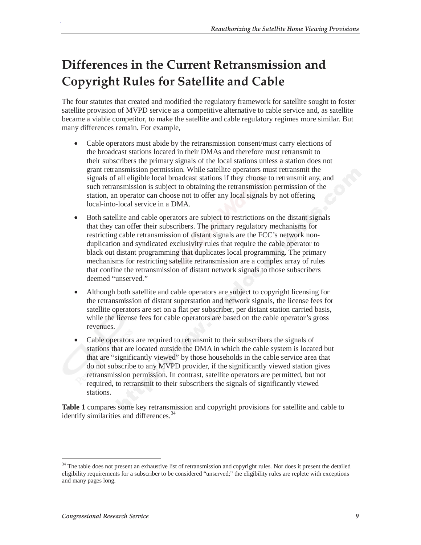## **Differences in the Current Retransmission and Copyright Rules for Satellite and Cable**

The four statutes that created and modified the regulatory framework for satellite sought to foster satellite provision of MVPD service as a competitive alternative to cable service and, as satellite became a viable competitor, to make the satellite and cable regulatory regimes more similar. But many differences remain. For example,

- Cable operators must abide by the retransmission consent/must carry elections of the broadcast stations located in their DMAs and therefore must retransmit to their subscribers the primary signals of the local stations unless a station does not grant retransmission permission. While satellite operators must retransmit the signals of all eligible local broadcast stations if they choose to retransmit any, and such retransmission is subject to obtaining the retransmission permission of the station, an operator can choose not to offer any local signals by not offering local-into-local service in a DMA.
- Both satellite and cable operators are subject to restrictions on the distant signals that they can offer their subscribers. The primary regulatory mechanisms for restricting cable retransmission of distant signals are the FCC's network nonduplication and syndicated exclusivity rules that require the cable operator to black out distant programming that duplicates local programming. The primary mechanisms for restricting satellite retransmission are a complex array of rules that confine the retransmission of distant network signals to those subscribers deemed "unserved."
- Although both satellite and cable operators are subject to copyright licensing for the retransmission of distant superstation and network signals, the license fees for satellite operators are set on a flat per subscriber, per distant station carried basis, while the license fees for cable operators are based on the cable operator's gross revenues.
- Cable operators are required to retransmit to their subscribers the signals of stations that are located outside the DMA in which the cable system is located but that are "significantly viewed" by those households in the cable service area that do not subscribe to any MVPD provider, if the significantly viewed station gives retransmission permission. In contrast, satellite operators are permitted, but not required, to retransmit to their subscribers the signals of significantly viewed stations.

**Table 1** compares some key retransmission and copyright provisions for satellite and cable to identify similarities and differences.<sup>34</sup>

-

<sup>&</sup>lt;sup>34</sup> The table does not present an exhaustive list of retransmission and copyright rules. Nor does it present the detailed eligibility requirements for a subscriber to be considered "unserved;" the eligibility rules are replete with exceptions and many pages long.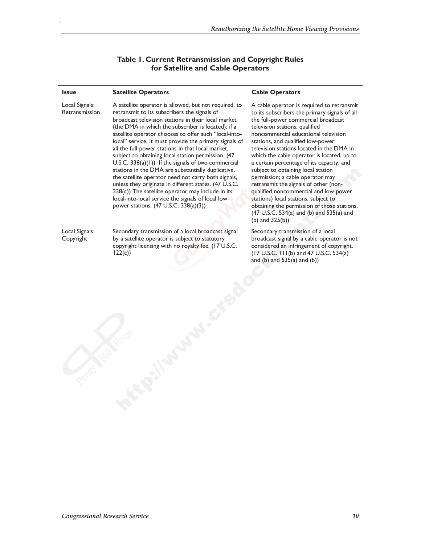| <b>Issue</b>                     | <b>Satellite Operators</b>                                                                                                                                                                                                                                                                                                                                                                                                                                                                                                                                                                                                                                                                                                                                                                                                           | <b>Cable Operators</b>                                                                                                                                                                                                                                                                                                                                                                                                                                                                                                                                                                                                                                                                                         |
|----------------------------------|--------------------------------------------------------------------------------------------------------------------------------------------------------------------------------------------------------------------------------------------------------------------------------------------------------------------------------------------------------------------------------------------------------------------------------------------------------------------------------------------------------------------------------------------------------------------------------------------------------------------------------------------------------------------------------------------------------------------------------------------------------------------------------------------------------------------------------------|----------------------------------------------------------------------------------------------------------------------------------------------------------------------------------------------------------------------------------------------------------------------------------------------------------------------------------------------------------------------------------------------------------------------------------------------------------------------------------------------------------------------------------------------------------------------------------------------------------------------------------------------------------------------------------------------------------------|
| Local Signals:<br>Retransmission | A satellite operator is allowed, but not required, to<br>retransmit to its subscribers the signals of<br>broadcast television stations in their local market<br>(the DMA in which the subscriber is located); if a<br>satellite operator chooses to offer such "local-into-<br>local" service, it must provide the primary signals of<br>all the full-power stations in that local market,<br>subject to obtaining local station permission. (47<br>$U.S.C. 338(a)(1))$ If the signals of two commercial<br>stations in the DMA are substantially duplicative,<br>the satellite operator need not carry both signals,<br>unless they originate in different states. (47 U.S.C.<br>$338(c)$ ) The satellite operator may include in its<br>local-into-local service the signals of local low<br>power stations. (47 U.S.C. 338(a)(3)) | A cable operator is required to retransmit<br>to its subscribers the primary signals of all<br>the full-power commercial broadcast<br>television stations, qualified<br>noncommercial educational television<br>stations, and qualified low-power<br>television stations located in the DMA in<br>which the cable operator is located, up to<br>a certain percentage of its capacity, and<br>subject to obtaining local station<br>permission; a cable operator may<br>retransmit the signals of other (non-<br>qualified noncommercial and low power<br>stations) local stations, subject to<br>obtaining the permission of those stations.<br>(47 U.S.C. 534(a) and (b) and 535(a) and<br>(b) and $325(b)$ ) |
| Local Signals:<br>Copyright      | Secondary transmission of a local broadcast signal<br>by a satellite operator is subject to statutory<br>copyright licensing with no royalty fee. (17 U.S.C.<br>122(c)                                                                                                                                                                                                                                                                                                                                                                                                                                                                                                                                                                                                                                                               | Secondary transmission of a local<br>broadcast signal by a cable operator is not<br>considered an infringement of copyright.<br>(17 U.S.C. 111(b) and 47 U.S.C. 534(a)<br>and $(b)$ and $535(a)$ and $(b)$ )                                                                                                                                                                                                                                                                                                                                                                                                                                                                                                   |

#### **Table 1. Current Retransmission and Copyright Rules for Satellite and Cable Operators**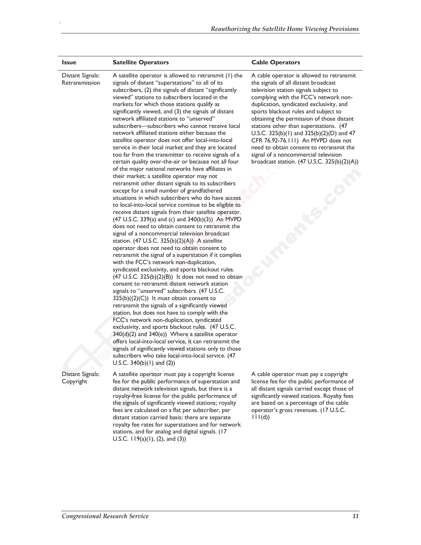| <b>Issue</b>                       | <b>Satellite Operators</b>                                                                                                                                                                                                                                                                                                                                                                                                                                                                                                                                                                                                                                                                                                                                                                                                                                                                                                                                                                                                                                                                                                                                                                                                                                                                                                                                                                                                                                                                                                                                                                                                                                                                                                                                                                                                                                                                                                                                                                                                                                                                                                                                                                                               | <b>Cable Operators</b>                                                                                                                                                                                                                                                                                                                                                                                                                                                                                                                                                         |
|------------------------------------|--------------------------------------------------------------------------------------------------------------------------------------------------------------------------------------------------------------------------------------------------------------------------------------------------------------------------------------------------------------------------------------------------------------------------------------------------------------------------------------------------------------------------------------------------------------------------------------------------------------------------------------------------------------------------------------------------------------------------------------------------------------------------------------------------------------------------------------------------------------------------------------------------------------------------------------------------------------------------------------------------------------------------------------------------------------------------------------------------------------------------------------------------------------------------------------------------------------------------------------------------------------------------------------------------------------------------------------------------------------------------------------------------------------------------------------------------------------------------------------------------------------------------------------------------------------------------------------------------------------------------------------------------------------------------------------------------------------------------------------------------------------------------------------------------------------------------------------------------------------------------------------------------------------------------------------------------------------------------------------------------------------------------------------------------------------------------------------------------------------------------------------------------------------------------------------------------------------------------|--------------------------------------------------------------------------------------------------------------------------------------------------------------------------------------------------------------------------------------------------------------------------------------------------------------------------------------------------------------------------------------------------------------------------------------------------------------------------------------------------------------------------------------------------------------------------------|
| Distant Signals:<br>Retransmission | A satellite operator is allowed to retransmit (1) the<br>signals of distant "superstations" to all of its<br>subscribers, (2) the signals of distant "significantly<br>viewed" stations to subscribers located in the<br>markets for which those stations qualify as<br>significantly viewed, and (3) the signals of distant<br>network affiliated stations to "unserved"<br>subscribers—subscribers who cannot receive local<br>network affiliated stations either because the<br>satellite operator does not offer local-into-local<br>service in their local market and they are located<br>too far from the transmitter to receive signals of a<br>certain quality over-the-air or because not all four<br>of the major national networks have affiliates in<br>their market; a satellite operator may not<br>retransmit other distant signals to its subscribers<br>except for a small number of grandfathered<br>situations in which subscribers who do have access<br>to local-into-local service continue to be eligible to<br>receive distant signals from their satellite operator.<br>(47 U.S.C. 339(a) and (c) and 340(b)(3)) An MVPD<br>does not need to obtain consent to retransmit the<br>signal of a noncommercial television broadcast<br>station. $(47 \text{ U.S.C. } 325(b)(2)(A))$ A satellite<br>operator does not need to obtain consent to<br>retransmit the signal of a superstation if it complies<br>with the FCC's network non-duplication,<br>syndicated exclusivity, and sports blackout rules.<br>$(47 \text{ U.S.C. } 325(b)(2)(B))$ It does not need to obtain<br>consent to retransmit distant network station<br>signals to "unserved" subscribers. (47 U.S.C.<br>$325(b)((2)(C))$ It must obtain consent to<br>retransmit the signals of a significantly viewed<br>station, but does not have to comply with the<br>FCC's network non-duplication, syndicated<br>exclusivity, and sports blackout rules. (47 U.S.C.<br>340(d)(2) and 340(e)) Where a satellite operator<br>offers local-into-local service, it can retransmit the<br>signals of significantly viewed stations only to those<br>subscribers who take local-into-local service. (47<br>U.S.C. $340(b)(1)$ and $(2)$ ) | A cable operator is allowed to retransmit<br>the signals of all distant broadcast<br>television station signals subject to<br>complying with the FCC's network non-<br>duplication, syndicated exclusivity, and<br>sports blackout rules and subject to<br>obtaining the permission of those distant<br>stations other than superstations. (47<br>U.S.C. 325(b)(1) and 325(b)(2)(D) and 47<br>CFR 76.92-76.111) An MVPD does not<br>need to obtain consent to retransmit the<br>signal of a noncommercial television<br>broadcast station. $(47 \text{ U.S.C. } 325(b)(2)(A))$ |
| Distant Signals:<br>Copyright      | A satellite operator must pay a copyright license<br>fee for the public performance of superstation and<br>distant network television signals, but there is a<br>royalty-free license for the public performance of<br>the signals of significantly viewed stations; royalty<br>fees are calculated on a flat per subscriber, per<br>distant station carried basis; there are separate                                                                                                                                                                                                                                                                                                                                                                                                                                                                                                                                                                                                                                                                                                                                                                                                                                                                                                                                                                                                                                                                                                                                                                                                                                                                                                                                                                                                                                                                                                                                                                                                                                                                                                                                                                                                                                   | A cable operator must pay a copyright<br>license fee for the public performance of<br>all distant signals carried except those of<br>significantly viewed stations. Royalty fees<br>are based on a percentage of the cable<br>operator's gross revenues. (17 U.S.C.<br>111(d)                                                                                                                                                                                                                                                                                                  |

royalty fee rates for superstations and for network stations, and for analog and digital signals. (17

U.S.C. 119(a)(1), (2), and (3))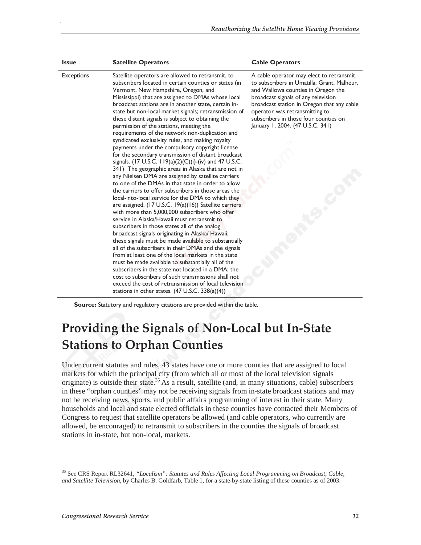| <b>Issue</b>      | <b>Satellite Operators</b>                                                                                                                                                                                                                                                                                                                                                                                                                                                                                                                                                                                                                                                                                                                                                                                                                                                                                                                                                                                                                                                                                                                                                                                                                                                                                                                                                                                                                                                                                                                                                                                                                                                                                             | <b>Cable Operators</b>                                                                                                                                                                                                                                                                                                            |
|-------------------|------------------------------------------------------------------------------------------------------------------------------------------------------------------------------------------------------------------------------------------------------------------------------------------------------------------------------------------------------------------------------------------------------------------------------------------------------------------------------------------------------------------------------------------------------------------------------------------------------------------------------------------------------------------------------------------------------------------------------------------------------------------------------------------------------------------------------------------------------------------------------------------------------------------------------------------------------------------------------------------------------------------------------------------------------------------------------------------------------------------------------------------------------------------------------------------------------------------------------------------------------------------------------------------------------------------------------------------------------------------------------------------------------------------------------------------------------------------------------------------------------------------------------------------------------------------------------------------------------------------------------------------------------------------------------------------------------------------------|-----------------------------------------------------------------------------------------------------------------------------------------------------------------------------------------------------------------------------------------------------------------------------------------------------------------------------------|
| <b>Exceptions</b> | Satellite operators are allowed to retransmit, to<br>subscribers located in certain counties or states (in<br>Vermont, New Hampshire, Oregon, and<br>Mississippi) that are assigned to DMAs whose local<br>broadcast stations are in another state, certain in-<br>state but non-local market signals; retransmission of<br>these distant signals is subject to obtaining the<br>permission of the stations, meeting the<br>requirements of the network non-duplication and<br>syndicated exclusivity rules, and making royalty<br>payments under the compulsory copyright license<br>for the secondary transmission of distant broadcast<br>signals. (17 U.S.C. 119(a)(2)(C)(i)-(iv) and 47 U.S.C.<br>341) The geographic areas in Alaska that are not in<br>any Nielsen DMA are assigned by satellite carriers<br>to one of the DMAs in that state in order to allow<br>the carriers to offer subscribers in those areas the<br>local-into-local service for the DMA to which they<br>are assigned. (17 U.S.C. 19(a)(16)) Satellite carriers<br>with more than 5,000,000 subscribers who offer<br>service in Alaska/Hawaii must retransmit to<br>subscribers in those states all of the analog<br>broadcast signals originating in Alaska/ Hawaii;<br>these signals must be made available to substantially<br>all of the subscribers in their DMAs and the signals<br>from at least one of the local markets in the state<br>must be made available to substantially all of the<br>subscribers in the state not located in a DMA; the<br>cost to subscribers of such transmissions shall not<br>exceed the cost of retransmission of local television<br>stations in other states. $(47 \text{ U.S.C. } 338(a)(4))$ | A cable operator may elect to retransmit<br>to subscribers in Umatilla, Grant, Malheur,<br>and Wallowa counties in Oregon the<br>broadcast signals of any television<br>broadcast station in Oregon that any cable<br>operator was retransmitting to<br>subscribers in those four counties on<br>January 1, 2004. (47 U.S.C. 341) |

**Source:** Statutory and regulatory citations are provided within the table.

### **Providing the Signals of Non-Local but In-State Stations to Orphan Counties**

Under current statutes and rules, 43 states have one or more counties that are assigned to local markets for which the principal city (from which all or most of the local television signals originate) is outside their state.<sup>35</sup> As a result, satellite (and, in many situations, cable) subscribers in these "orphan counties" may not be receiving signals from in-state broadcast stations and may not be receiving news, sports, and public affairs programming of interest in their state. Many households and local and state elected officials in these counties have contacted their Members of Congress to request that satellite operators be allowed (and cable operators, who currently are allowed, be encouraged) to retransmit to subscribers in the counties the signals of broadcast stations in in-state, but non-local, markets.

-

<sup>35</sup> See CRS Report RL32641, *"Localism": Statutes and Rules Affecting Local Programming on Broadcast, Cable, and Satellite Television*, by Charles B. Goldfarb, Table 1, for a state-by-state listing of these counties as of 2003.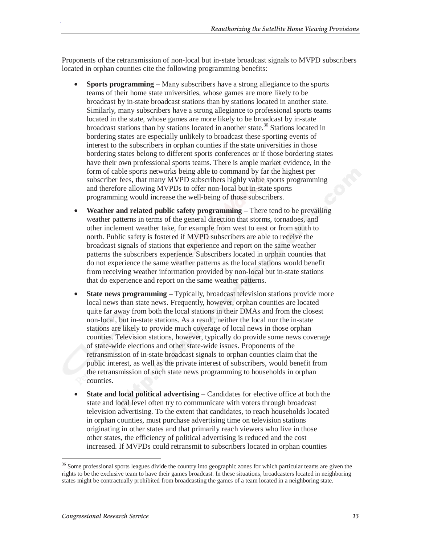Proponents of the retransmission of non-local but in-state broadcast signals to MVPD subscribers located in orphan counties cite the following programming benefits:

- **Sports programming** Many subscribers have a strong allegiance to the sports teams of their home state universities, whose games are more likely to be broadcast by in-state broadcast stations than by stations located in another state. Similarly, many subscribers have a strong allegiance to professional sports teams located in the state, whose games are more likely to be broadcast by in-state broadcast stations than by stations located in another state.36 Stations located in bordering states are especially unlikely to broadcast these sporting events of interest to the subscribers in orphan counties if the state universities in those bordering states belong to different sports conferences or if those bordering states have their own professional sports teams. There is ample market evidence, in the form of cable sports networks being able to command by far the highest per subscriber fees, that many MVPD subscribers highly value sports programming and therefore allowing MVPDs to offer non-local but in-state sports programming would increase the well-being of those subscribers.
- **Weather and related public safety programming** There tend to be prevailing weather patterns in terms of the general direction that storms, tornadoes, and other inclement weather take, for example from west to east or from south to north. Public safety is fostered if MVPD subscribers are able to receive the broadcast signals of stations that experience and report on the same weather patterns the subscribers experience. Subscribers located in orphan counties that do not experience the same weather patterns as the local stations would benefit from receiving weather information provided by non-local but in-state stations that do experience and report on the same weather patterns.
- **State news programming** Typically, broadcast television stations provide more local news than state news. Frequently, however, orphan counties are located quite far away from both the local stations in their DMAs and from the closest non-local, but in-state stations. As a result, neither the local nor the in-state stations are likely to provide much coverage of local news in those orphan counties. Television stations, however, typically do provide some news coverage of state-wide elections and other state-wide issues. Proponents of the retransmission of in-state broadcast signals to orphan counties claim that the public interest, as well as the private interest of subscribers, would benefit from the retransmission of such state news programming to households in orphan counties.
- **State and local political advertising** Candidates for elective office at both the state and local level often try to communicate with voters through broadcast television advertising. To the extent that candidates, to reach households located in orphan counties, must purchase advertising time on television stations originating in other states and that primarily reach viewers who live in those other states, the efficiency of political advertising is reduced and the cost increased. If MVPDs could retransmit to subscribers located in orphan counties

-

<sup>&</sup>lt;sup>36</sup> Some professional sports leagues divide the country into geographic zones for which particular teams are given the rights to be the exclusive team to have their games broadcast. In these situations, broadcasters located in neighboring states might be contractually prohibited from broadcasting the games of a team located in a neighboring state.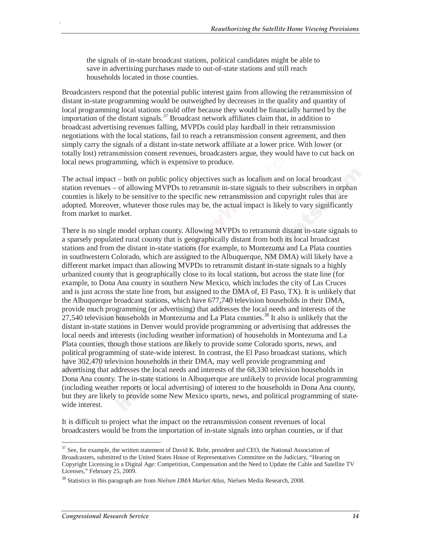the signals of in-state broadcast stations, political candidates might be able to save in advertising purchases made to out-of-state stations and still reach households located in those counties.

Broadcasters respond that the potential public interest gains from allowing the retransmission of distant in-state programming would be outweighed by decreases in the quality and quantity of local programming local stations could offer because they would be financially harmed by the importation of the distant signals.<sup>37</sup> Broadcast network affiliates claim that, in addition to broadcast advertising revenues falling, MVPDs could play hardball in their retransmission negotiations with the local stations, fail to reach a retransmission consent agreement, and then simply carry the signals of a distant in-state network affiliate at a lower price. With lower (or totally lost) retransmission consent revenues, broadcasters argue, they would have to cut back on local news programming, which is expensive to produce.

The actual impact – both on public policy objectives such as localism and on local broadcast station revenues – of allowing MVPDs to retransmit in-state signals to their subscribers in orphan counties is likely to be sensitive to the specific new retransmission and copyright rules that are adopted. Moreover, whatever those rules may be, the actual impact is likely to vary significantly from market to market.

There is no single model orphan county. Allowing MVPDs to retransmit distant in-state signals to a sparsely populated rural county that is geographically distant from both its local broadcast stations and from the distant in-state stations (for example, to Montezuma and La Plata counties in southwestern Colorado, which are assigned to the Albuquerque, NM DMA) will likely have a different market impact than allowing MVPDs to retransmit distant in-state signals to a highly urbanized county that is geographically close to its local stations, but across the state line (for example, to Dona Ana county in southern New Mexico, which includes the city of Las Cruces and is just across the state line from, but assigned to the DMA of, El Paso, TX). It is unlikely that the Albuquerque broadcast stations, which have 677,740 television households in their DMA, provide much programming (or advertising) that addresses the local needs and interests of the 27,540 television households in Montezuma and La Plata counties.<sup>38</sup> It also is unlikely that the distant in-state stations in Denver would provide programming or advertising that addresses the local needs and interests (including weather information) of households in Montezuma and La Plata counties, though those stations are likely to provide some Colorado sports, news, and political programming of state-wide interest. In contrast, the El Paso broadcast stations, which have 302,470 television households in their DMA, may well provide programming and advertising that addresses the local needs and interests of the 68,330 television households in Dona Ana county. The in-state stations in Albuquerque are unlikely to provide local programming (including weather reports or local advertising) of interest to the households in Dona Ana county, but they are likely to provide some New Mexico sports, news, and political programming of statewide interest.

It is difficult to project what the impact on the retransmission consent revenues of local broadcasters would be from the importation of in-state signals into orphan counties, or if that

 $\overline{a}$ <sup>37</sup> See, for example, the written statement of David K. Rehr, president and CEO, the National Association of Broadcasters, submitted to the United States House of Representatives Committee on the Judiciary, "Hearing on Copyright Licensing in a Digital Age: Competition, Compensation and the Need to Update the Cable and Satellite TV Licenses," February 25, 2009.

<sup>38</sup> Statistics in this paragraph are from *Nielsen DMA Market Atlas*, Nielsen Media Research, 2008.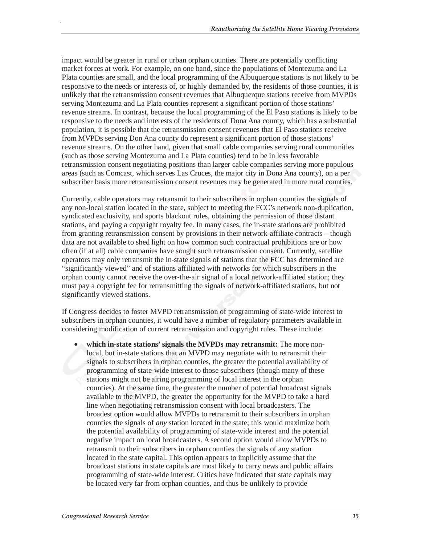impact would be greater in rural or urban orphan counties. There are potentially conflicting market forces at work. For example, on one hand, since the populations of Montezuma and La Plata counties are small, and the local programming of the Albuquerque stations is not likely to be responsive to the needs or interests of, or highly demanded by, the residents of those counties, it is unlikely that the retransmission consent revenues that Albuquerque stations receive from MVPDs serving Montezuma and La Plata counties represent a significant portion of those stations' revenue streams. In contrast, because the local programming of the El Paso stations is likely to be responsive to the needs and interests of the residents of Dona Ana county, which has a substantial population, it is possible that the retransmission consent revenues that El Paso stations receive from MVPDs serving Don Ana county do represent a significant portion of those stations' revenue streams. On the other hand, given that small cable companies serving rural communities (such as those serving Montezuma and La Plata counties) tend to be in less favorable retransmission consent negotiating positions than larger cable companies serving more populous areas (such as Comcast, which serves Las Cruces, the major city in Dona Ana county), on a per subscriber basis more retransmission consent revenues may be generated in more rural counties.

Currently, cable operators may retransmit to their subscribers in orphan counties the signals of any non-local station located in the state, subject to meeting the FCC's network non-duplication, syndicated exclusivity, and sports blackout rules, obtaining the permission of those distant stations, and paying a copyright royalty fee. In many cases, the in-state stations are prohibited from granting retransmission consent by provisions in their network-affiliate contracts – though data are not available to shed light on how common such contractual prohibitions are or how often (if at all) cable companies have sought such retransmission consent. Currently, satellite operators may only retransmit the in-state signals of stations that the FCC has determined are "significantly viewed" and of stations affiliated with networks for which subscribers in the orphan county cannot receive the over-the-air signal of a local network-affiliated station; they must pay a copyright fee for retransmitting the signals of network-affiliated stations, but not significantly viewed stations.

If Congress decides to foster MVPD retransmission of programming of state-wide interest to subscribers in orphan counties, it would have a number of regulatory parameters available in considering modification of current retransmission and copyright rules. These include:

• **which in-state stations' signals the MVPDs may retransmit:** The more nonlocal, but in-state stations that an MVPD may negotiate with to retransmit their signals to subscribers in orphan counties, the greater the potential availability of programming of state-wide interest to those subscribers (though many of these stations might not be airing programming of local interest in the orphan counties). At the same time, the greater the number of potential broadcast signals available to the MVPD, the greater the opportunity for the MVPD to take a hard line when negotiating retransmission consent with local broadcasters. The broadest option would allow MVPDs to retransmit to their subscribers in orphan counties the signals of *any* station located in the state; this would maximize both the potential availability of programming of state-wide interest and the potential negative impact on local broadcasters. A second option would allow MVPDs to retransmit to their subscribers in orphan counties the signals of any station located in the state capital. This option appears to implicitly assume that the broadcast stations in state capitals are most likely to carry news and public affairs programming of state-wide interest. Critics have indicated that state capitals may be located very far from orphan counties, and thus be unlikely to provide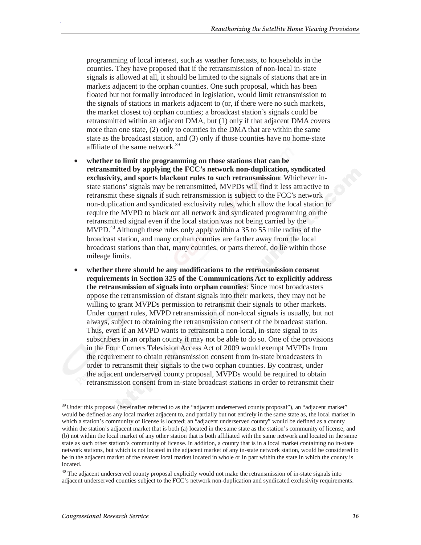programming of local interest, such as weather forecasts, to households in the counties. They have proposed that if the retransmission of non-local in-state signals is allowed at all, it should be limited to the signals of stations that are in markets adjacent to the orphan counties. One such proposal, which has been floated but not formally introduced in legislation, would limit retransmission to the signals of stations in markets adjacent to (or, if there were no such markets, the market closest to) orphan counties; a broadcast station's signals could be retransmitted within an adjacent DMA, but (1) only if that adjacent DMA covers more than one state, (2) only to counties in the DMA that are within the same state as the broadcast station, and (3) only if those counties have no home-state affiliate of the same network.<sup>39</sup>

- **whether to limit the programming on those stations that can be retransmitted by applying the FCC's network non-duplication, syndicated exclusivity, and sports blackout rules to such retransmission**: Whichever instate stations' signals may be retransmitted, MVPDs will find it less attractive to retransmit these signals if such retransmission is subject to the FCC's network non-duplication and syndicated exclusivity rules, which allow the local station to require the MVPD to black out all network and syndicated programming on the retransmitted signal even if the local station was not being carried by the MVPD.<sup>40</sup> Although these rules only apply within a 35 to 55 mile radius of the broadcast station, and many orphan counties are farther away from the local broadcast stations than that, many counties, or parts thereof, do lie within those mileage limits.
- **whether there should be any modifications to the retransmission consent requirements in Section 325 of the Communications Act to explicitly address the retransmission of signals into orphan counties**: Since most broadcasters oppose the retransmission of distant signals into their markets, they may not be willing to grant MVPDs permission to retransmit their signals to other markets. Under current rules, MVPD retransmission of non-local signals is usually, but not always, subject to obtaining the retransmission consent of the broadcast station. Thus, even if an MVPD wants to retransmit a non-local, in-state signal to its subscribers in an orphan county it may not be able to do so. One of the provisions in the Four Corners Television Access Act of 2009 would exempt MVPDs from the requirement to obtain retransmission consent from in-state broadcasters in order to retransmit their signals to the two orphan counties. By contrast, under the adjacent underserved county proposal, MVPDs would be required to obtain retransmission consent from in-state broadcast stations in order to retransmit their

-

<sup>&</sup>lt;sup>39</sup> Under this proposal (hereinafter referred to as the "adjacent underserved county proposal"), an "adjacent market" would be defined as any local market adjacent to, and partially but not entirely in the same state as, the local market in which a station's community of license is located; an "adjacent underserved county" would be defined as a county within the station's adjacent market that is both (a) located in the same state as the station's community of license, and (b) not within the local market of any other station that is both affiliated with the same network and located in the same state as such other station's community of license. In addition, a county that is in a local market containing no in-state network stations, but which is not located in the adjacent market of any in-state network station, would be considered to be in the adjacent market of the nearest local market located in whole or in part within the state in which the county is located.

<sup>&</sup>lt;sup>40</sup> The adjacent underserved county proposal explicitly would not make the retransmission of in-state signals into adjacent underserved counties subject to the FCC's network non-duplication and syndicated exclusivity requirements.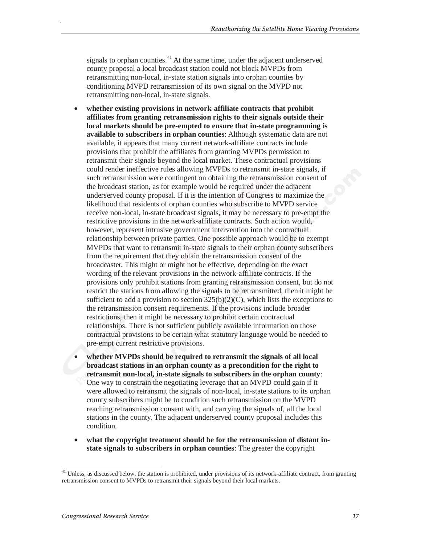signals to orphan counties. $41$  At the same time, under the adjacent underserved county proposal a local broadcast station could not block MVPDs from retransmitting non-local, in-state station signals into orphan counties by conditioning MVPD retransmission of its own signal on the MVPD not retransmitting non-local, in-state signals.

- **whether existing provisions in network-affiliate contracts that prohibit affiliates from granting retransmission rights to their signals outside their local markets should be pre-empted to ensure that in-state programming is available to subscribers in orphan counties**: Although systematic data are not available, it appears that many current network-affiliate contracts include provisions that prohibit the affiliates from granting MVPDs permission to retransmit their signals beyond the local market. These contractual provisions could render ineffective rules allowing MVPDs to retransmit in-state signals, if such retransmission were contingent on obtaining the retransmission consent of the broadcast station, as for example would be required under the adjacent underserved county proposal. If it is the intention of Congress to maximize the likelihood that residents of orphan counties who subscribe to MVPD service receive non-local, in-state broadcast signals, it may be necessary to pre-empt the restrictive provisions in the network-affiliate contracts. Such action would, however, represent intrusive government intervention into the contractual relationship between private parties. One possible approach would be to exempt MVPDs that want to retransmit in-state signals to their orphan county subscribers from the requirement that they obtain the retransmission consent of the broadcaster. This might or might not be effective, depending on the exact wording of the relevant provisions in the network-affiliate contracts. If the provisions only prohibit stations from granting retransmission consent, but do not restrict the stations from allowing the signals to be retransmitted, then it might be sufficient to add a provision to section  $325(b)(2)(C)$ , which lists the exceptions to the retransmission consent requirements. If the provisions include broader restrictions, then it might be necessary to prohibit certain contractual relationships. There is not sufficient publicly available information on those contractual provisions to be certain what statutory language would be needed to pre-empt current restrictive provisions.
- **whether MVPDs should be required to retransmit the signals of all local broadcast stations in an orphan county as a precondition for the right to retransmit non-local, in-state signals to subscribers in the orphan county**: One way to constrain the negotiating leverage that an MVPD could gain if it were allowed to retransmit the signals of non-local, in-state stations to its orphan county subscribers might be to condition such retransmission on the MVPD reaching retransmission consent with, and carrying the signals of, all the local stations in the county. The adjacent underserved county proposal includes this condition.
- **what the copyright treatment should be for the retransmission of distant instate signals to subscribers in orphan counties**: The greater the copyright

-

 $41$  Unless, as discussed below, the station is prohibited, under provisions of its network-affiliate contract, from granting retransmission consent to MVPDs to retransmit their signals beyond their local markets.